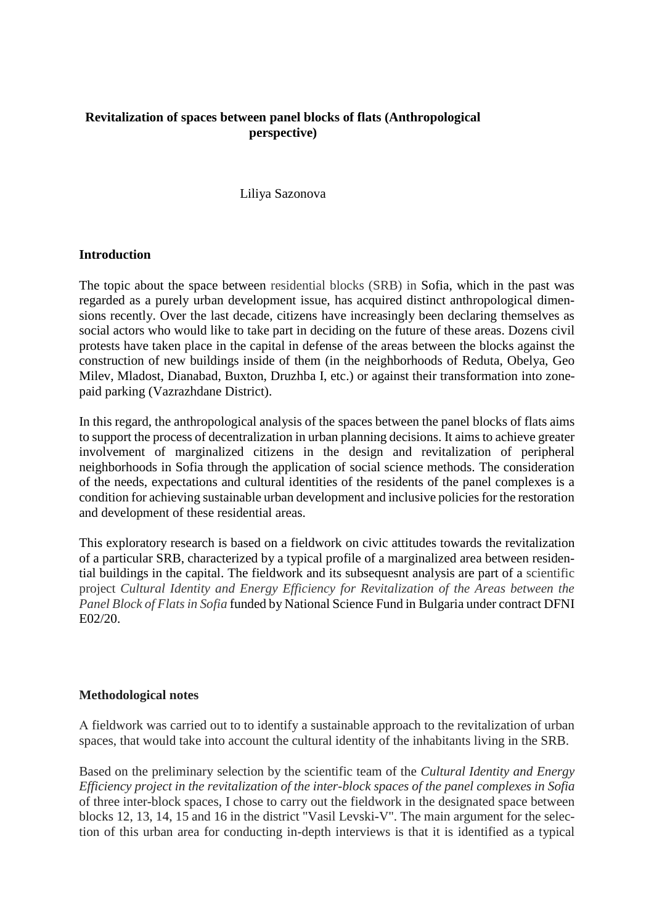# **Revitalization of spaces between panel blocks of flats (Anthropological perspective)**

Liliya Sazonova

### **Introduction**

The topic about the space between residential blocks (SRB) in Sofia, which in the past was regarded as a purely urban development issue, has acquired distinct anthropological dimensions recently. Over the last decade, citizens have increasingly been declaring themselves as social actors who would like to take part in deciding on the future of these areas. Dozens civil protests have taken place in the capital in defense of the areas between the blocks against the construction of new buildings inside of them (in the neighborhoods of Reduta, Obelya, Geo Milev, Mladost, Dianabad, Buxton, Druzhba I, etc.) or against their transformation into zonepaid parking (Vazrazhdane District).

In this regard, the anthropological analysis of the spaces between the panel blocks of flats aims to support the process of decentralization in urban planning decisions. It aims to achieve greater involvement of marginalized citizens in the design and revitalization of peripheral neighborhoods in Sofia through the application of social science methods. The consideration of the needs, expectations and cultural identities of the residents of the panel complexes is a condition for achieving sustainable urban development and inclusive policies for the restoration and development of these residential areas.

This exploratory research is based on a fieldwork on civic attitudes towards the revitalization of a particular SRB, characterized by a typical profile of a marginalized area between residential buildings in the capital. The fieldwork and its subsequesnt analysis are part of a scientific project *Cultural Identity and Energy Efficiency for Revitalization of the Areas between the Panel Block of Flats in Sofia* funded by National Science Fund in Bulgaria under contract DFNI E02/20.

#### **Methodological notes**

А fieldwork was carried out to to identify a sustainable approach to the revitalization of urban spaces, that would take into account the cultural identity of the inhabitants living in the SRB.

Based on the preliminary selection by the scientific team of the *Cultural Identity and Energy Efficiency project in the revitalization of the inter-block spaces of the panel complexes in Sofia* of three inter-block spaces, I chose to carry out the fieldwork in the designated space between blocks 12, 13, 14, 15 and 16 in the district "Vasil Levski-V". The main argument for the selection of this urban area for conducting in-depth interviews is that it is identified as a typical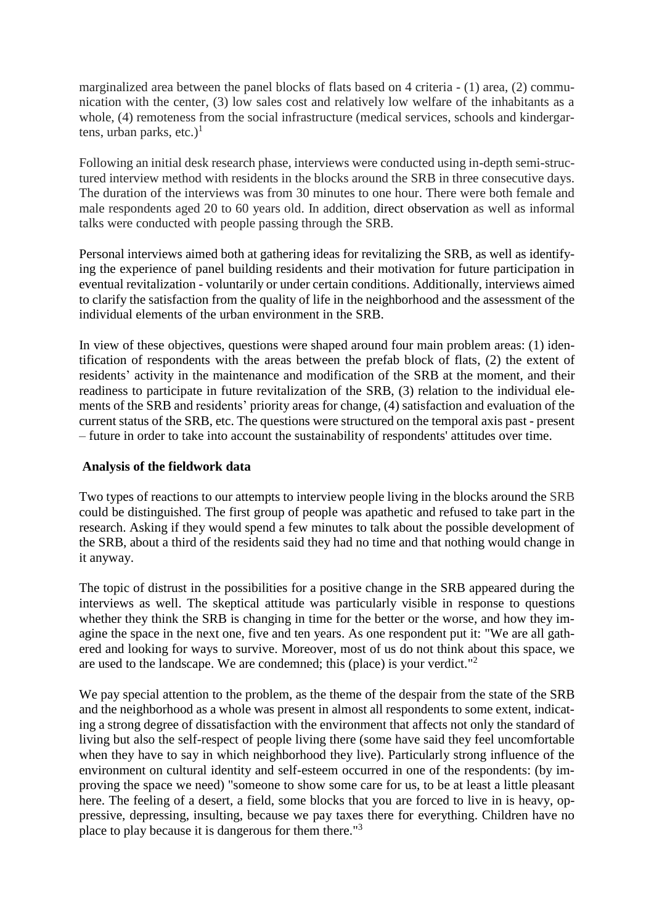marginalized area between the panel blocks of flats based on 4 criteria - (1) area, (2) communication with the center, (3) low sales cost and relatively low welfare of the inhabitants as a whole, (4) remoteness from the social infrastructure (medical services, schools and kindergartens, urban parks, etc.)<sup>1</sup>

Following an initial desk research phase, interviews were conducted using in-depth semi-structured interview method with residents in the blocks around the SRB in three consecutive days. The duration of the interviews was from 30 minutes to one hour. There were both female and male respondents aged 20 to 60 years old. In addition, direct observation as well as informal talks were conducted with people passing through the SRB.

Personal interviews aimed both at gathering ideas for revitalizing the SRB, as well as identifying the experience of panel building residents and their motivation for future participation in eventual revitalization - voluntarily or under certain conditions. Additionally, interviews aimed to clarify the satisfaction from the quality of life in the neighborhood and the assessment of the individual elements of the urban environment in the SRB.

In view of these objectives, questions were shaped around four main problem areas: (1) identification of respondents with the areas between the prefab block of flats, (2) the extent of residents' activity in the maintenance and modification of the SRB at the moment, and their readiness to participate in future revitalization of the SRB, (3) relation to the individual elements of the SRB and residents' priority areas for change, (4) satisfaction and evaluation of the current status of the SRB, etc. The questions were structured on the temporal axis past - present – future in order to take into account the sustainability of respondents' attitudes over time.

### **Analysis of the fieldwork data**

Two types of reactions to our attempts to interview people living in the blocks around the SRB could be distinguished. The first group of people was apathetic and refused to take part in the research. Asking if they would spend a few minutes to talk about the possible development of the SRB, about a third of the residents said they had no time and that nothing would change in it anyway.

The topic of distrust in the possibilities for a positive change in the SRB appeared during the interviews as well. The skeptical attitude was particularly visible in response to questions whether they think the SRB is changing in time for the better or the worse, and how they imagine the space in the next one, five and ten years. As one respondent put it: "We are all gathered and looking for ways to survive. Moreover, most of us do not think about this space, we are used to the landscape. We are condemned; this (place) is your verdict." 2

We pay special attention to the problem, as the theme of the despair from the state of the SRB and the neighborhood as a whole was present in almost all respondents to some extent, indicating a strong degree of dissatisfaction with the environment that affects not only the standard of living but also the self-respect of people living there (some have said they feel uncomfortable when they have to say in which neighborhood they live). Particularly strong influence of the environment on cultural identity and self-esteem occurred in one of the respondents: (by improving the space we need) "someone to show some care for us, to be at least a little pleasant here. The feeling of a desert, a field, some blocks that you are forced to live in is heavy, oppressive, depressing, insulting, because we pay taxes there for everything. Children have no place to play because it is dangerous for them there."<sup>3</sup>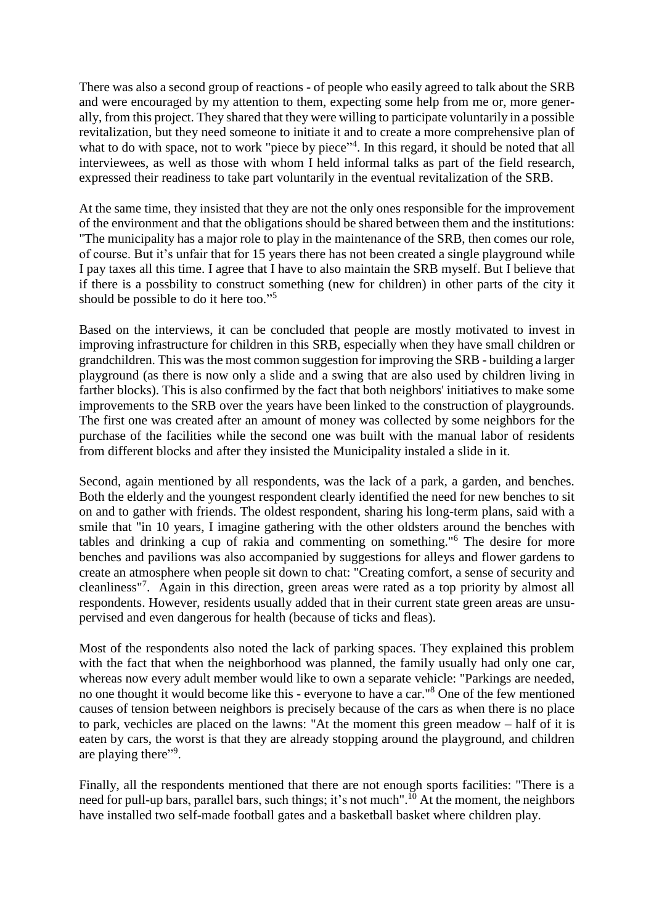There was also a second group of reactions - of people who easily agreed to talk about the SRB and were encouraged by my attention to them, expecting some help from me or, more generally, from this project. They shared that they were willing to participate voluntarily in a possible revitalization, but they need someone to initiate it and to create a more comprehensive plan of what to do with space, not to work "piece by piece"<sup>4</sup>. In this regard, it should be noted that all interviewees, as well as those with whom I held informal talks as part of the field research, expressed their readiness to take part voluntarily in the eventual revitalization of the SRB.

At the same time, they insisted that they are not the only ones responsible for the improvement of the environment and that the obligations should be shared between them and the institutions: "The municipality has a major role to play in the maintenance of the SRB, then comes our role, of course. But it's unfair that for 15 years there has not been created a single playground while I pay taxes all this time. I agree that I have to also maintain the SRB myself. But I believe that if there is a possbility to construct something (new for children) in other parts of the city it should be possible to do it here too." 5

Based on the interviews, it can be concluded that people are mostly motivated to invest in improving infrastructure for children in this SRB, especially when they have small children or grandchildren. This was the most common suggestion for improving the SRB - building a larger playground (as there is now only a slide and a swing that are also used by children living in farther blocks). This is also confirmed by the fact that both neighbors' initiatives to make some improvements to the SRB over the years have been linked to the construction of playgrounds. The first one was created after an amount of money was collected by some neighbors for the purchase of the facilities while the second one was built with the manual labor of residents from different blocks and after they insisted the Municipality instaled a slide in it.

Second, again mentioned by all respondents, was the lack of a park, a garden, and benches. Both the elderly and the youngest respondent clearly identified the need for new benches to sit on and to gather with friends. The oldest respondent, sharing his long-term plans, said with a smile that "in 10 years, I imagine gathering with the other oldsters around the benches with tables and drinking a cup of rakia and commenting on something."<sup>6</sup> The desire for more benches and pavilions was also accompanied by suggestions for alleys and flower gardens to create an atmosphere when people sit down to chat: "Creating comfort, a sense of security and cleanliness"<sup>7</sup>. Again in this direction, green areas were rated as a top priority by almost all respondents. However, residents usually added that in their current state green areas are unsupervised and even dangerous for health (because of ticks and fleas).

Most of the respondents also noted the lack of parking spaces. They explained this problem with the fact that when the neighborhood was planned, the family usually had only one car, whereas now every adult member would like to own a separate vehicle: "Parkings are needed, no one thought it would become like this - everyone to have a car."<sup>8</sup> One of the few mentioned causes of tension between neighbors is precisely because of the cars as when there is no place to park, vechicles are placed on the lawns: "At the moment this green meadow – half of it is eaten by cars, the worst is that they are already stopping around the playground, and children are playing there"<sup>9</sup>.

Finally, all the respondents mentioned that there are not enough sports facilities: "There is a need for pull-up bars, parallel bars, such things; it's not much".<sup>10</sup> At the moment, the neighbors have installed two self-made football gates and a basketball basket where children play.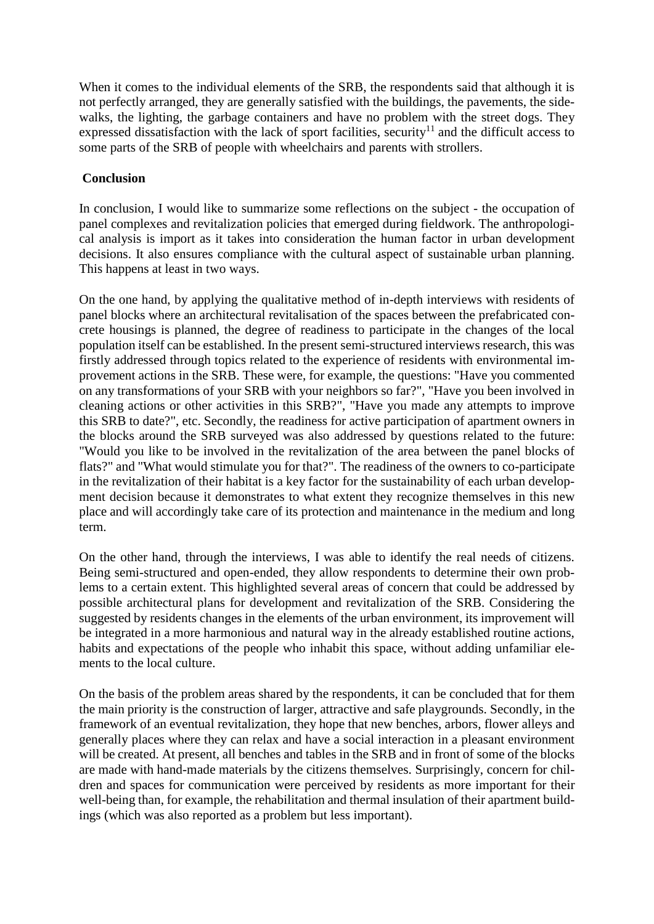When it comes to the individual elements of the SRB, the respondents said that although it is not perfectly arranged, they are generally satisfied with the buildings, the pavements, the sidewalks, the lighting, the garbage containers and have no problem with the street dogs. They expressed dissatisfaction with the lack of sport facilities, security<sup>11</sup> and the difficult access to some parts of the SRB of people with wheelchairs and parents with strollers.

## **Conclusion**

In conclusion, I would like to summarize some reflections on the subject - the occupation of panel complexes and revitalization policies that emerged during fieldwork. The anthropological analysis is import as it takes into consideration the human factor in urban development decisions. It also ensures compliance with the cultural aspect of sustainable urban planning. This happens at least in two ways.

On the one hand, by applying the qualitative method of in-depth interviews with residents of panel blocks where an architectural revitalisation of the spaces between the prefabricated concrete housings is planned, the degree of readiness to participate in the changes of the local population itself can be established. In the present semi-structured interviews research, this was firstly addressed through topics related to the experience of residents with environmental improvement actions in the SRB. These were, for example, the questions: "Have you commented on any transformations of your SRB with your neighbors so far?", "Have you been involved in cleaning actions or other activities in this SRB?", "Have you made any attempts to improve this SRB to date?", etc. Secondly, the readiness for active participation of apartment owners in the blocks around the SRB surveyed was also addressed by questions related to the future: "Would you like to be involved in the revitalization of the area between the panel blocks of flats?" and "What would stimulate you for that?". The readiness of the owners to co-participate in the revitalization of their habitat is a key factor for the sustainability of each urban development decision because it demonstrates to what extent they recognize themselves in this new place and will accordingly take care of its protection and maintenance in the medium and long term.

On the other hand, through the interviews, I was able to identify the real needs of citizens. Being semi-structured and open-ended, they allow respondents to determine their own problems to a certain extent. This highlighted several areas of concern that could be addressed by possible architectural plans for development and revitalization of the SRB. Considering the suggested by residents changes in the elements of the urban environment, its improvement will be integrated in a more harmonious and natural way in the already established routine actions, habits and expectations of the people who inhabit this space, without adding unfamiliar elements to the local culture.

On the basis of the problem areas shared by the respondents, it can be concluded that for them the main priority is the construction of larger, attractive and safe playgrounds. Secondly, in the framework of an eventual revitalization, they hope that new benches, arbors, flower alleys and generally places where they can relax and have a social interaction in a pleasant environment will be created. At present, all benches and tables in the SRB and in front of some of the blocks are made with hand-made materials by the citizens themselves. Surprisingly, concern for children and spaces for communication were perceived by residents as more important for their well-being than, for example, the rehabilitation and thermal insulation of their apartment buildings (which was also reported as a problem but less important).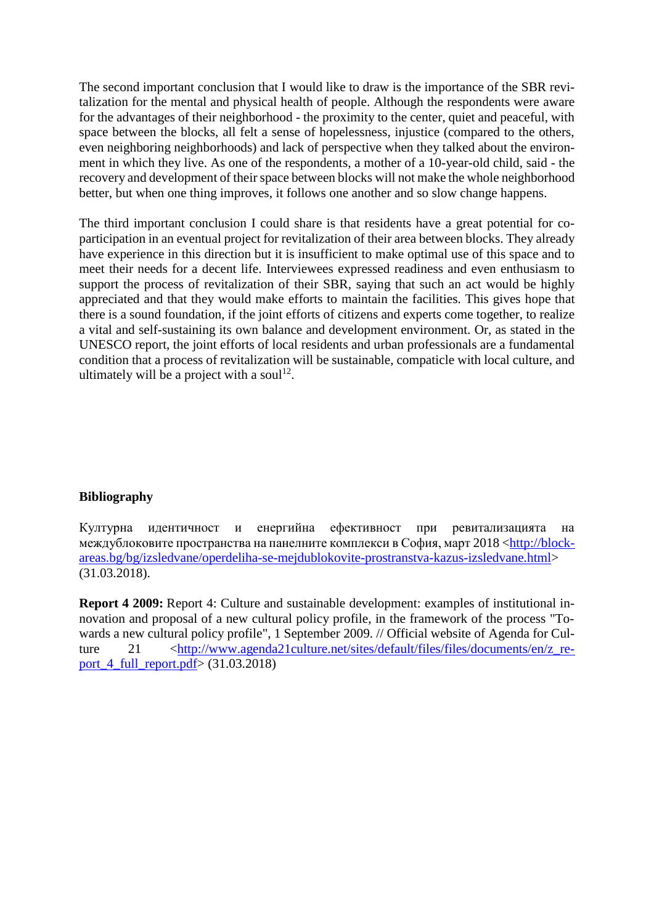The second important conclusion that I would like to draw is the importance of the SBR revitalization for the mental and physical health of people. Although the respondents were aware for the advantages of their neighborhood - the proximity to the center, quiet and peaceful, with space between the blocks, all felt a sense of hopelessness, injustice (compared to the others, even neighboring neighborhoods) and lack of perspective when they talked about the environment in which they live. As one of the respondents, a mother of a 10-year-old child, said - the recovery and development of their space between blocks will not make the whole neighborhood better, but when one thing improves, it follows one another and so slow change happens.

The third important conclusion I could share is that residents have a great potential for coparticipation in an eventual project for revitalization of their area between blocks. They already have experience in this direction but it is insufficient to make optimal use of this space and to meet their needs for a decent life. Interviewees expressed readiness and even enthusiasm to support the process of revitalization of their SBR, saying that such an act would be highly appreciated and that they would make efforts to maintain the facilities. This gives hope that there is a sound foundation, if the joint efforts of citizens and experts come together, to realize a vital and self-sustaining its own balance and development environment. Or, as stated in the UNESCO report, the joint efforts of local residents and urban professionals are a fundamental condition that a process of revitalization will be sustainable, compaticle with local culture, and ultimately will be a project with a soul<sup>12</sup>.

# **Bibliography**

Културна идентичност и енергийна ефективност при ревитализацията на междублоковите пространства на панелните комплекси в София, март 2018 [<http://block](http://blockareas.bg/bg/izsledvane/operdeliha-se-mejdublokovite-prostranstva-kazus-izsledvane.html)[areas.bg/bg/izsledvane/operdeliha-se-mejdublokovite-prostranstva-kazus-izsledvane.html>](http://blockareas.bg/bg/izsledvane/operdeliha-se-mejdublokovite-prostranstva-kazus-izsledvane.html) (31.03.2018).

**Report 4 2009:** Report 4: Culture and sustainable development: examples of institutional innovation and proposal of a new cultural policy profile, in the framework of the process "Towards a new cultural policy profile", 1 September 2009. // Official website of Agenda for Culture 21  $\langle \frac{http://www.agentda21culture.net/sites/default/files/files/documents/en/z-ref.}$ port 4 full report.pdf>  $(31.03.2018)$